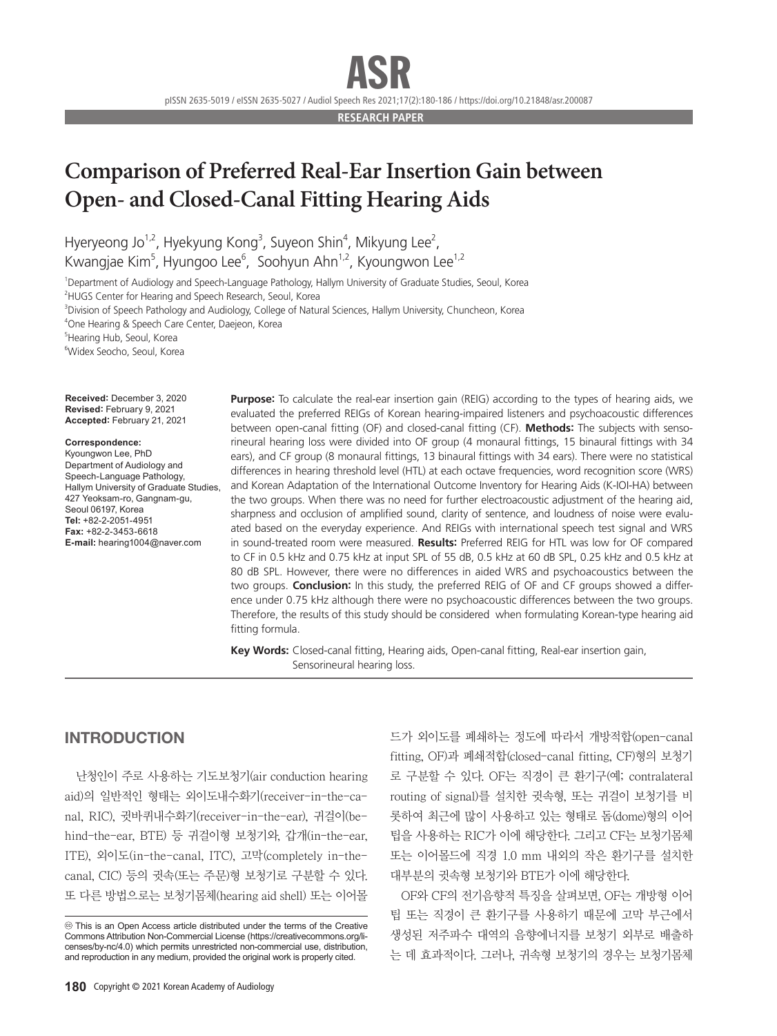pISSN 2635-5019 / eISSN 2635-5027 / Audiol Speech Res 2021;17(2):180-186 / https://doi.org/10.21848/asr.200087

**RESEARCH PAPER**

# **Comparison of Preferred Real-Ear Insertion Gain between Open- and Closed-Canal Fitting Hearing Aids**

Hyeryeong Jo<sup>1,2</sup>, Hyekyung Kong<sup>3</sup>, Suyeon Shin<sup>4</sup>, Mikyung Lee<sup>2</sup>, Kwangjae Kim<sup>5</sup>, Hyungoo Lee<sup>6</sup>, Soohyun Ahn<sup>1,2</sup>, Kyoungwon Lee<sup>1,2</sup>

1 Department of Audiology and Speech-Language Pathology, Hallym University of Graduate Studies, Seoul, Korea <sup>2</sup>HUGS Center for Hearing and Speech Research, Seoul, Korea

3 Division of Speech Pathology and Audiology, College of Natural Sciences, Hallym University, Chuncheon, Korea

4 One Hearing & Speech Care Center, Daejeon, Korea

5 Hearing Hub, Seoul, Korea

6 Widex Seocho, Seoul, Korea

**Received:** December 3, 2020 **Revised:** February 9, 2021 **Accepted:** February 21, 2021

#### **Correspondence:**

Kyoungwon Lee, PhD Department of Audiology and Speech-Language Pathology, Hallym University of Graduate Studies, 427 Yeoksam-ro, Gangnam-gu, Seoul 06197, Korea **Tel:** +82-2-2051-4951 **Fax:** +82-2-3453-6618 **E-mail:** hearing1004@naver.com

**Purpose:** To calculate the real-ear insertion gain (REIG) according to the types of hearing aids, we evaluated the preferred REIGs of Korean hearing-impaired listeners and psychoacoustic differences between open-canal fitting (OF) and closed-canal fitting (CF). **Methods:** The subjects with sensorineural hearing loss were divided into OF group (4 monaural fittings, 15 binaural fittings with 34 ears), and CF group (8 monaural fittings, 13 binaural fittings with 34 ears). There were no statistical differences in hearing threshold level (HTL) at each octave frequencies, word recognition score (WRS) and Korean Adaptation of the International Outcome Inventory for Hearing Aids (K-IOI-HA) between the two groups. When there was no need for further electroacoustic adjustment of the hearing aid, sharpness and occlusion of amplified sound, clarity of sentence, and loudness of noise were evaluated based on the everyday experience. And REIGs with international speech test signal and WRS in sound-treated room were measured. **Results:** Preferred REIG for HTL was low for OF compared to CF in 0.5 kHz and 0.75 kHz at input SPL of 55 dB, 0.5 kHz at 60 dB SPL, 0.25 kHz and 0.5 kHz at 80 dB SPL. However, there were no differences in aided WRS and psychoacoustics between the two groups. **Conclusion:** In this study, the preferred REIG of OF and CF groups showed a difference under 0.75 kHz although there were no psychoacoustic differences between the two groups. Therefore, the results of this study should be considered when formulating Korean-type hearing aid fitting formula.

Key Words: Closed-canal fitting, Hearing aids, Open-canal fitting, Real-ear insertion gain, Sensorineural hearing loss.

# INTRODUCTION

난청인이 주로 사용하는 기도보청기(air conduction hearing aid)의 일반적인 형태는 외이도내수화기(receiver-in-the-canal, RIC), 귓바퀴내수화기(receiver-in-the-ear), 귀걸이(behind-the-ear, BTE) 등 귀걸이형 보청기와, 갑개(in-the-ear, ITE), 외이도(in-the-canal, ITC), 고막(completely in-thecanal, CIC) 등의 귓속(또는 주문)형 보청기로 구분할 수 있다. 또 다른 방법으로는 보청기몸체(hearing aid shell) 또는 이어몰 드가 외이도를 폐쇄하는 정도에 따라서 개방적합(open-canal fitting, OF)과 폐쇄적합(closed-canal fitting, CF)형의 보청기 로 구분할 수 있다. OF는 직경이 큰 환기구(예; contralateral routing of signal)를 설치한 귓속형, 또는 귀걸이 보청기를 비 롯하여 최근에 많이 사용하고 있는 형태로 돔(dome)형의 이어 팁을 사용하는 RIC가 이에 해당한다. 그리고 CF는 보청기몸체 또는 이어몰드에 직경 1.0 mm 내외의 작은 환기구를 설치한 대부분의 귓속형 보청기와 BTE가 이에 해당한다.

OF와 CF의 전기음향적 특징을 살펴보면, OF는 개방형 이어 팁 또는 직경이 큰 환기구를 사용하기 때문에 고막 부근에서 생성된 저주파수 대역의 음향에너지를 보청기 외부로 배출하 는 데 효과적이다. 그러나, 귀속형 보청기의 경우는 보청기몸체

cc This is an Open Access article distributed under the terms of the Creative Commons Attribution Non-Commercial License (https://creativecommons.org/licenses/by-nc/4.0) which permits unrestricted non-commercial use, distribution, and reproduction in any medium, provided the original work is properly cited.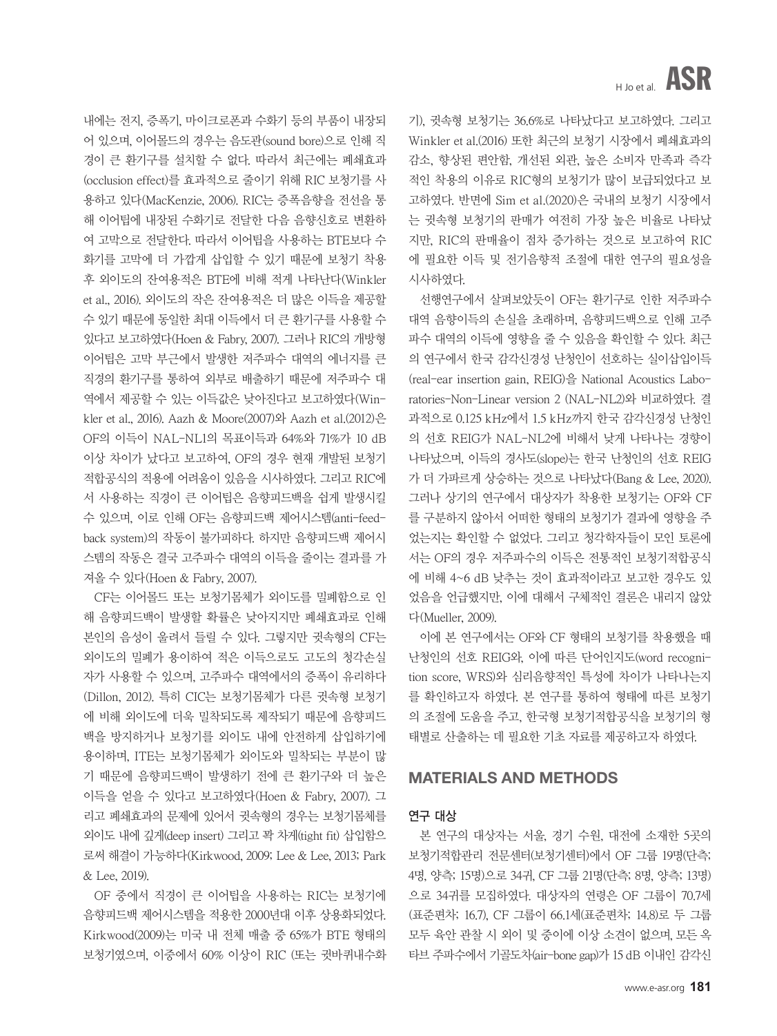기), 귓속형 보청기는 36.6%로 나타났다고 보고하였다. 그리고 Winkler et al.(2016) 또한 최근의 보청기 시장에서 폐쇄효과의 감소, 향상된 편안함, 개선된 외관, 높은 소비자 만족과 즉각 적인 착용의 이유로 RIC형의 보청기가 많이 보급되었다고 보 고하였다. 반면에 Sim et al.(2020)은 국내의 보청기 시장에서 는 귓속형 보청기의 판매가 여전히 가장 높은 비율로 나타났 지만, RIC의 판매율이 점차 증가하는 것으로 보고하여 RIC 에 필요한 이득 및 전기음향적 조절에 대한 연구의 필요성을 시사하였다.

선행연구에서 살펴보았듯이 OF는 환기구로 인한 저주파수 대역 음향이득의 손실을 초래하며, 음향피드백으로 인해 고주 파수 대역의 이득에 영향을 줄 수 있음을 확인할 수 있다. 최근 의 연구에서 한국 감각신경성 난청인이 선호하는 실이삽입이득 (real-ear insertion gain, REIG)을 National Acoustics Laboratories-Non-Linear version 2 (NAL-NL2)와 비교하였다. 결 과적으로 0.125 kHz에서 1.5 kHz까지 한국 감각신경성 난청인 의 선호 REIG가 NAL-NL2에 비해서 낮게 나타나는 경향이 나타났으며, 이득의 경사도(slope)는 한국 난청인의 선호 REIG 가 더 가파르게 상승하는 것으로 나타났다(Bang & Lee, 2020). 그러나 상기의 연구에서 대상자가 착용한 보청기는 OF와 CF 를 구분하지 않아서 어떠한 형태의 보청기가 결과에 영향을 주 었는지는 확인할 수 없었다. 그리고 청각학자들이 모인 토론에 서는 OF의 경우 저주파수의 이득은 전통적인 보청기적합공식 에 비해 4~6 dB 낮추는 것이 효과적이라고 보고한 경우도 있 었음을 언급했지만, 이에 대해서 구체적인 결론은 내리지 않았 다(Mueller, 2009).

이에 본 연구에서는 OF와 CF 형태의 보청기를 착용했을 때 난청인의 선호 REIG와, 이에 따른 단어인지도(word recognition score, WRS)와 심리음향적인 특성에 차이가 나타나는지 를 확인하고자 하였다. 본 연구를 통하여 형태에 따른 보청기 의 조절에 도움을 주고, 한국형 보청기적합공식을 보청기의 형 태별로 산출하는 데 필요한 기초 자료를 제공하고자 하였다.

### MATERIALS AND METHODS

### 연구 대상

본 연구의 대상자는 서울, 경기 수원, 대전에 소재한 5곳의 보청기적합관리 전문센터(보청기센터)에서 OF 그룹 19명(단측; 4명, 양측; 15명)으로 34귀, CF 그룹 21명(단측; 8명, 양측; 13명) 으로 34귀를 모집하였다. 대상자의 연령은 OF 그룹이 70.7세 (표준편차; 16.7), CF 그룹이 66.1세(표준편차; 14.8)로 두 그룹 모두 육안 관찰 시 외이 및 중이에 이상 소견이 없으며, 모든 옥 타브 주파수에서 기골도차(air-bone gap)가 15 dB 이내인 감각신

내에는 전지, 증폭기, 마이크로폰과 수화기 등의 부품이 내장되 어 있으며, 이어몰드의 경우는 음도관(sound bore)으로 인해 직 경이 큰 환기구를 설치할 수 없다. 따라서 최근에는 폐쇄효과 (occlusion effect)를 효과적으로 줄이기 위해 RIC 보청기를 사 용하고 있다(MacKenzie, 2006). RIC는 증폭음향을 전선을 통 해 이어팁에 내장된 수화기로 전달한 다음 음향신호로 변환하 여 고막으로 전달한다. 따라서 이어팁을 사용하는 BTE보다 수 화기를 고막에 더 가깝게 삽입할 수 있기 때문에 보청기 착용 후 외이도의 잔여용적은 BTE에 비해 적게 나타난다(Winkler et al., 2016). 외이도의 작은 잔여용적은 더 많은 이득을 제공할 수 있기 때문에 동일한 최대 이득에서 더 큰 환기구를 사용할 수 있다고 보고하였다(Hoen & Fabry, 2007). 그러나 RIC의 개방형 이어팁은 고막 부근에서 발생한 저주파수 대역의 에너지를 큰 직경의 환기구를 통하여 외부로 배출하기 때문에 저주파수 대 역에서 제공할 수 있는 이득값은 낮아진다고 보고하였다(Winkler et al., 2016). Aazh & Moore(2007)와 Aazh et al.(2012)은 OF의 이득이 NAL-NL1의 목표이득과 64%와 71%가 10 dB 이상 차이가 났다고 보고하여, OF의 경우 현재 개발된 보청기 적합공식의 적용에 어려움이 있음을 시사하였다. 그리고 RIC에 서 사용하는 직경이 큰 이어팁은 음향피드백을 쉽게 발생시킬 수 있으며, 이로 인해 OF는 음향피드백 제어시스템(anti-feedback system)의 작동이 불가피하다. 하지만 음향피드백 제어시 스템의 작동은 결국 고주파수 대역의 이득을 줄이는 결과를 가 져올 수 있다(Hoen & Fabry, 2007).

CF는 이어몰드 또는 보청기몸체가 외이도를 밀폐함으로 인 해 음향피드백이 발생할 확률은 낮아지지만 폐쇄효과로 인해 본인의 음성이 울려서 들릴 수 있다. 그렇지만 귓속형의 CF는 외이도의 밀폐가 용이하여 적은 이득으로도 고도의 청각손실 자가 사용할 수 있으며, 고주파수 대역에서의 증폭이 유리하다 (Dillon, 2012). 특히 CIC는 보청기몸체가 다른 귓속형 보청기 에 비해 외이도에 더욱 밀착되도록 제작되기 때문에 음향피드 백을 방지하거나 보청기를 외이도 내에 안전하게 삽입하기에 용이하며, ITE는 보청기몸체가 외이도와 밀착되는 부분이 많 기 때문에 음향피드백이 발생하기 전에 큰 환기구와 더 높은 이득을 얻을 수 있다고 보고하였다(Hoen & Fabry, 2007). 그 리고 폐쇄효과의 문제에 있어서 귓속형의 경우는 보청기몸체를 외이도 내에 깊게(deep insert) 그리고 꽉 차게(tight fit) 삽입함으 로써 해결이 가능하다(Kirkwood, 2009; Lee & Lee, 2013; Park & Lee, 2019).

OF 중에서 직경이 큰 이어팁을 사용하는 RIC는 보청기에 음향피드백 제어시스템을 적용한 2000년대 이후 상용화되었다. Kirkwood(2009)는 미국 내 전체 매출 중 65%가 BTE 형태의 보청기였으며, 이중에서 60% 이상이 RIC (또는 귓바퀴내수화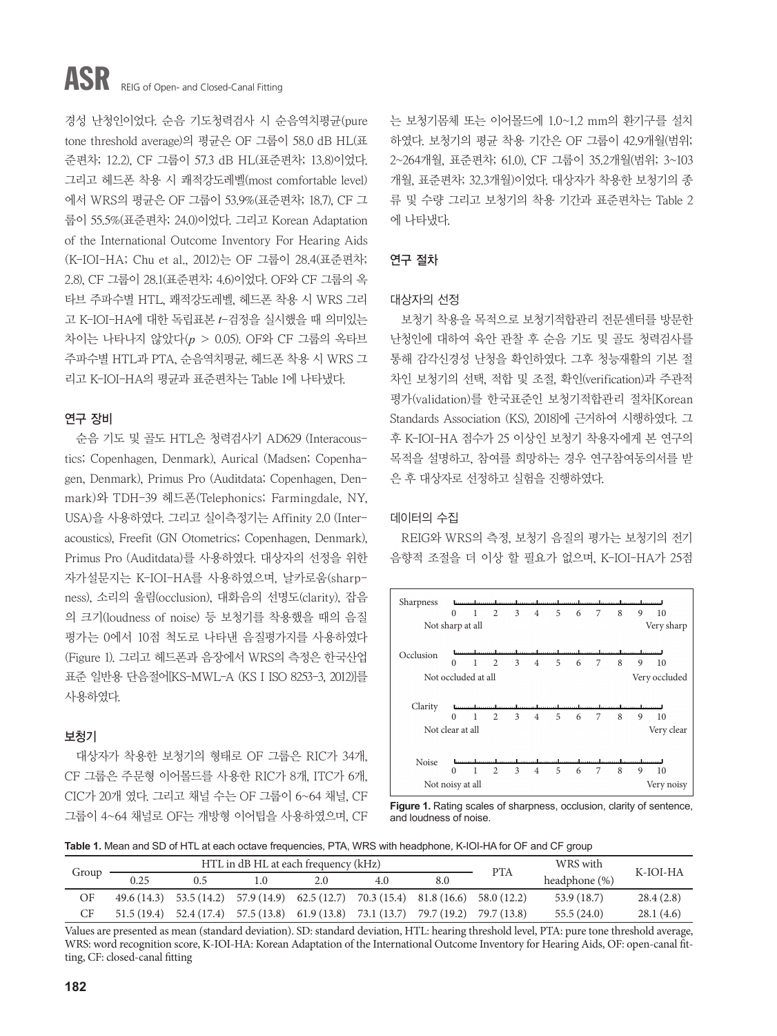# ASR REIG of Open- and Closed-Canal Fitting

경성 난청인이었다. 순음 기도청력검사 시 순음역치평균(pure tone threshold average)의 평균은 OF 그룹이 58.0 dB HL(표 준편차; 12.2), CF 그룹이 57.3 dB HL(표준편차; 13.8)이었다. 그리고 헤드폰 착용 시 쾌적강도레벨(most comfortable level) 에서 WRS의 평균은 OF 그룹이 53.9%(표준편차; 18.7), CF 그 룹이 55.5%(표준편차; 24.0)이었다. 그리고 Korean Adaptation of the International Outcome Inventory For Hearing Aids (K-IOI-HA; Chu et al., 2012)는 OF 그룹이 28.4(표준편차; 2.8), CF 그룹이 28.1(표준편차; 4.6)이었다. OF와 CF 그룹의 옥 타브 주파수별 HTL, 쾌적강도레벨, 헤드폰 착용 시 WRS 그리 고 K-IOI-HA에 대한 독립표본 *t*-검정을 실시했을 때 의미있는 차이는 나타나지 않았다(*p* > 0.05). OF와 CF 그룹의 옥타브 주파수별 HTL과 PTA, 순음역치평균, 헤드폰 착용 시 WRS 그 리고 K-IOI-HA의 평균과 표준편차는 Table 1에 나타냈다.

# 연구 장비

순음 기도 및 골도 HTL은 청력검사기 AD629 (Interacoustics; Copenhagen, Denmark), Aurical (Madsen; Copenhagen, Denmark), Primus Pro (Auditdata; Copenhagen, Denmark)와 TDH-39 헤드폰(Telephonics; Farmingdale, NY, USA)을 사용하였다. 그리고 실이측정기는 Affinity 2.0 (Interacoustics), Freefit (GN Otometrics; Copenhagen, Denmark), Primus Pro (Auditdata)를 사용하였다. 대상자의 선정을 위한 자가설문지는 K-IOI-HA를 사용하였으며, 날카로움(sharpness), 소리의 울림(occlusion), 대화음의 선명도(clarity), 잡음 의 크기(loudness of noise) 등 보청기를 착용했을 때의 음질 평가는 0에서 10점 척도로 나타낸 음질평가지를 사용하였다 (Figure 1). 그리고 헤드폰과 음장에서 WRS의 측정은 한국산업 표준 일반용 단음절어[KS-MWL-A (KS I ISO 8253-3, 2012)]를 사용하였다.

### 보청기

대상자가 착용한 보청기의 형태로 OF 그룹은 RIC가 34개, CF 그룹은 주문형 이어몰드를 사용한 RIC가 8개, ITC가 6개, CIC가 20개 였다. 그리고 채널 수는 OF 그룹이 6~64 채널, CF 그룹이 4~64 채널로 OF는 개방형 이어팁을 사용하였으며, CF

는 보청기몸체 또는 이어몰드에 1.0~1.2 mm의 환기구를 설치 하였다. 보청기의 평균 착용 기간은 OF 그룹이 42.9개월(범위; 2~264개월, 표준편차; 61.0), CF 그룹이 35.2개월(범위; 3~103 개월, 표준편차; 32.3개월)이었다. 대상자가 착용한 보청기의 종 류 및 수량 그리고 보청기의 착용 기간과 표준편차는 Table 2 에 나타냈다.

## 연구 절차

### 대상자의 선정

보청기 착용을 목적으로 보청기적합관리 전문센터를 방문한 난청인에 대하여 육안 관찰 후 순음 기도 및 골도 청력검사를 통해 감각신경성 난청을 확인하였다. 그후 청능재활의 기본 절 차인 보청기의 선택, 적합 및 조절, 확인(verification)과 주관적 평가(validation)를 한국표준인 보청기적합관리 절차[Korean Standards Association (KS), 2018]에 근거하여 시행하였다. 그 후 K-IOI-HA 점수가 25 이상인 보청기 착용자에게 본 연구의 목적을 설명하고, 참여를 희망하는 경우 연구참여동의서를 받 은 후 대상자로 선정하고 실험을 진행하였다.

### 데이터의 수집

REIG와 WRS의 측정, 보청기 음질의 평가는 보청기의 전기 음향적 조절을 더 이상 할 필요가 없으며, K-IOI-HA가 25점



**Figure 1.** Rating scales of sharpness, occlusion, clarity of sentence, and loudness of noise.

**Table 1.** Mean and SD of HTL at each octave frequencies, PTA, WRS with headphone, K-IOI-HA for OF and CF group

| Group | HTL in dB HL at each frequency (kHz) |                                                                                            |  |     |                                        |                         | PTA | WRS with         | K-IOI-HA  |  |
|-------|--------------------------------------|--------------------------------------------------------------------------------------------|--|-----|----------------------------------------|-------------------------|-----|------------------|-----------|--|
|       | 0.25                                 | 0.5                                                                                        |  | 2.O | 4.0                                    | 8.0                     |     | headphone $(\%)$ |           |  |
| OF    |                                      | $49.6(14.3)$ $53.5(14.2)$ $57.9(14.9)$ $62.5(12.7)$ $70.3(15.4)$ $81.8(16.6)$ $58.0(12.2)$ |  |     |                                        |                         |     | 53.9 (18.7)      | 28.4(2.8) |  |
| CF    | 51.5(19.4)                           | 52.4 (17.4)                                                                                |  |     | $57.5(13.8)$ $61.9(13.8)$ $73.1(13.7)$ | 79.7 (19.2) 79.7 (13.8) |     | 55.5(24.0)       | 28.1(4.6) |  |

Values are presented as mean (standard deviation). SD: standard deviation, HTL: hearing threshold level, PTA: pure tone threshold average, WRS: word recognition score, K-IOI-HA: Korean Adaptation of the International Outcome Inventory for Hearing Aids, OF: open-canal fitting, CF: closed-canal fitting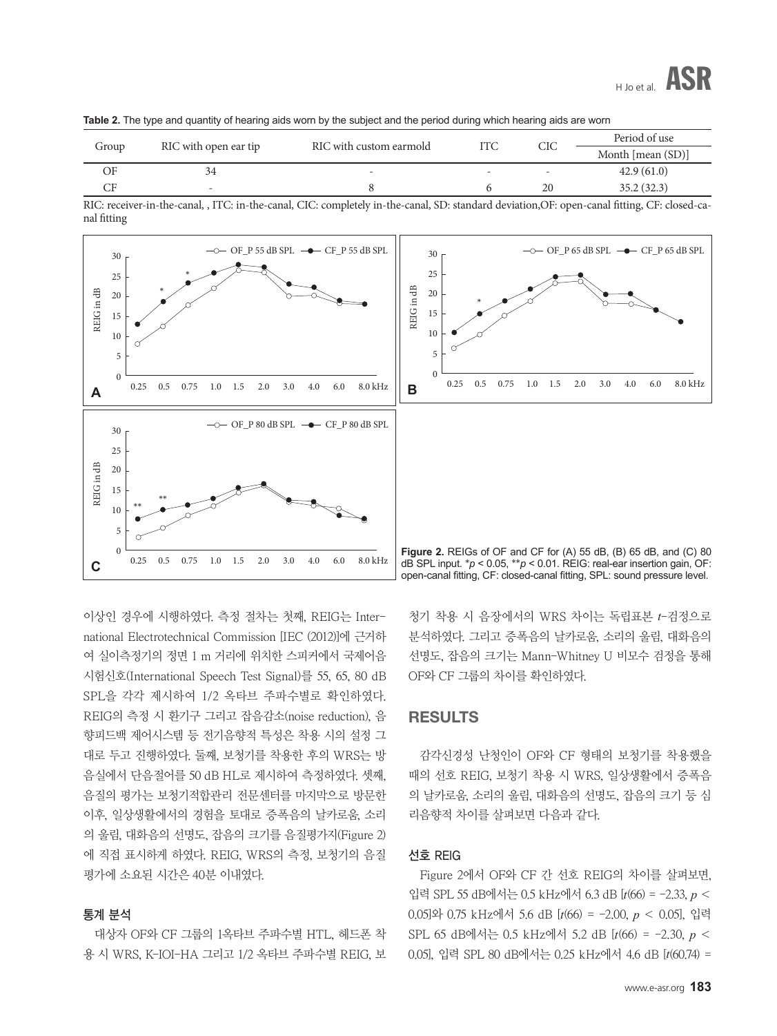|  |  |  |  |  |  |  |  | Table 2. The type and quantity of hearing aids worn by the subject and the period during which hearing aids are worn |  |
|--|--|--|--|--|--|--|--|----------------------------------------------------------------------------------------------------------------------|--|
|--|--|--|--|--|--|--|--|----------------------------------------------------------------------------------------------------------------------|--|

| Group |                       | RIC with custom earmold  |                          | CIC                      | Period of use     |
|-------|-----------------------|--------------------------|--------------------------|--------------------------|-------------------|
|       | RIC with open ear tip |                          |                          |                          | Month [mean (SD)] |
| ЭF    |                       | $\overline{\phantom{0}}$ | $\overline{\phantom{0}}$ | $\overline{\phantom{0}}$ | 42.9(61.0)        |
|       | -                     |                          |                          | 20                       | 35.2(32.3)        |

RIC: receiver-in-the-canal, , ITC: in-the-canal, CIC: completely in-the-canal, SD: standard deviation,OF: open-canal fitting, CF: closed-canal fitting



이상인 경우에 시행하였다. 측정 절차는 첫째, REIG는 International Electrotechnical Commission [IEC (2012)]에 근거하 여 실이측정기의 정면 1 m 거리에 위치한 스피커에서 국제어음 시험신호(International Speech Test Signal)를 55, 65, 80 dB SPL을 각각 제시하여 1/2 옥타브 주파수별로 확인하였다. REIG의 측정 시 환기구 그리고 잡음감소(noise reduction), 음 향피드백 제어시스템 등 전기음향적 특성은 착용 시의 설정 그 대로 두고 진행하였다. 둘째, 보청기를 착용한 후의 WRS는 방 음실에서 단음절어를 50 dB HL로 제시하여 측정하였다. 셋째, 음질의 평가는 보청기적합관리 전문센터를 마지막으로 방문한 이후, 일상생활에서의 경험을 토대로 증폭음의 날카로움, 소리 의 울림, 대화음의 선명도, 잡음의 크기를 음질평가지(Figure 2) 에 직접 표시하게 하였다. REIG, WRS의 측정, 보청기의 음질 평가에 소요된 시간은 40분 이내였다.

### 통계 분석

대상자 OF와 CF 그룹의 1옥타브 주파수별 HTL, 헤드폰 착 용 시 WRS, K-IOI-HA 그리고 1/2 옥타브 주파수별 REIG, 보

청기 착용 시 음장에서의 WRS 차이는 독립표본 *t*-검정으로 분석하였다. 그리고 증폭음의 날카로움, 소리의 울림, 대화음의 선명도, 잡음의 크기는 Mann-Whitney U 비모수 검정을 통해 OF와 CF 그룹의 차이를 확인하였다.

## RESULTS

감각신경성 난청인이 OF와 CF 형태의 보청기를 착용했을 때의 선호 REIG, 보청기 착용 시 WRS, 일상생활에서 증폭음 의 날카로움, 소리의 울림, 대화음의 선명도, 잡음의 크기 등 심 리음향적 차이를 살펴보면 다음과 같다.

### 선호 REIG

Figure 2에서 OF와 CF 간 선호 REIG의 차이를 살펴보면, 입력 SPL 55 dB에서는 0.5 kHz에서 6.3 dB [*t*(66) = -2.33, *p* < 0.05]와 0.75 kHz에서 5.6 dB [*t*(66) = -2.00, *p* < 0.05], 입력 SPL 65 dB에서는 0.5 kHz에서 5.2 dB [*t*(66) = -2.30, *p* < 0.05], 입력 SPL 80 dB에서는 0.25 kHz에서 4.6 dB [*t*(60.74) =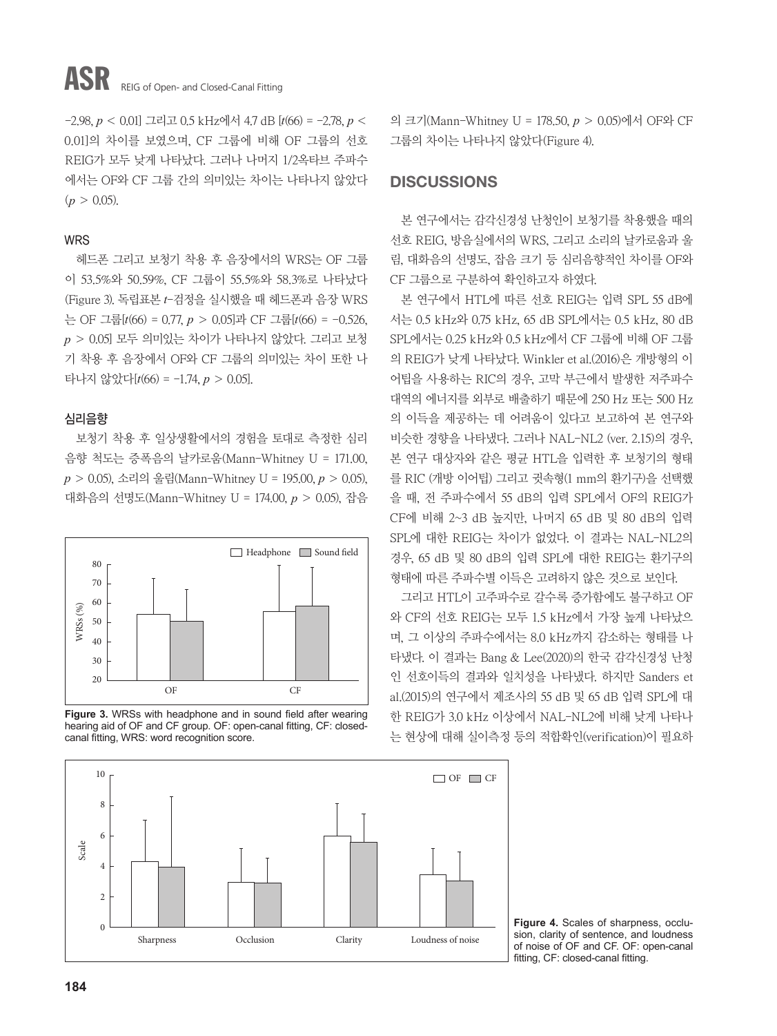# ASR REIG of Open- and Closed-Canal Fitting

-2.98, *p* < 0.01] 그리고 0.5 kHz에서 4.7 dB [*t*(66) = -2.78, *p* < 0.01]의 차이를 보였으며, CF 그룹에 비해 OF 그룹의 선호 REIG가 모두 낮게 나타났다. 그러나 나머지 1/2옥타브 주파수 에서는 OF와 CF 그룹 간의 의미있는 차이는 나타나지 않았다  $(p > 0.05)$ .

## WRS

헤드폰 그리고 보청기 착용 후 음장에서의 WRS는 OF 그룹 이 53.5%와 50.59%, CF 그룹이 55.5%와 58.3%로 나타났다 (Figure 3). 독립표본 *t*-검정을 실시했을 때 헤드폰과 음장 WRS 는 OF 그룹[*t*(66) = 0.77, *p* > 0.05]과 CF 그룹[*t*(66) = -0.526, *p* > 0.05] 모두 의미있는 차이가 나타나지 않았다. 그리고 보청 기 착용 후 음장에서 OF와 CF 그룹의 의미있는 차이 또한 나 타나지 않았다[*t*(66) = -1.74, *p* > 0.05].

# 심리음향

보청기 착용 후 일상생활에서의 경험을 토대로 측정한 심리 음향 척도는 증폭음의 날카로움(Mann-Whitney U = 171.00, *p* > 0.05), 소리의 울림(Mann-Whitney U = 195.00, *p* > 0.05), 대화음의 선명도(Mann-Whitney U = 174.00, *p* > 0.05), 잡음







의 크기(Mann-Whitney U = 178.50, *p* > 0.05)에서 OF와 CF 그룹의 차이는 나타나지 않았다(Figure 4).

# **DISCUSSIONS**

본 연구에서는 감각신경성 난청인이 보청기를 착용했을 때의 선호 REIG, 방음실에서의 WRS, 그리고 소리의 날카로움과 울 림, 대화음의 선명도, 잡음 크기 등 심리음향적인 차이를 OF와 CF 그룹으로 구분하여 확인하고자 하였다.

본 연구에서 HTL에 따른 선호 REIG는 입력 SPL 55 dB에 서는 0.5 kHz와 0.75 kHz, 65 dB SPL에서는 0.5 kHz, 80 dB SPL에서는 0.25 kHz와 0.5 kHz에서 CF 그룹에 비해 OF 그룹 의 REIG가 낮게 나타났다. Winkler et al.(2016)은 개방형의 이 어팁을 사용하는 RIC의 경우, 고막 부근에서 발생한 저주파수 대역의 에너지를 외부로 배출하기 때문에 250 Hz 또는 500 Hz 의 이득을 제공하는 데 어려움이 있다고 보고하여 본 연구와 비슷한 경향을 나타냈다. 그러나 NAL-NL2 (ver. 2.15)의 경우, 본 연구 대상자와 같은 평균 HTL을 입력한 후 보청기의 형태 를 RIC (개방 이어팁) 그리고 귓속형(1 mm의 환기구)을 선택했 을 때, 전 주파수에서 55 dB의 입력 SPL에서 OF의 REIG가 CF에 비해 2~3 dB 높지만, 나머지 65 dB 및 80 dB의 입력 SPL에 대한 REIG는 차이가 없었다. 이 결과는 NAL-NL2의 경우, 65 dB 및 80 dB의 입력 SPL에 대한 REIG는 환기구의 형태에 따른 주파수별 이득은 고려하지 않은 것으로 보인다.

그리고 HTL이 고주파수로 갈수록 증가함에도 불구하고 OF 와 CF의 선호 REIG는 모두 1.5 kHz에서 가장 높게 나타났으 며, 그 이상의 주파수에서는 8.0 kHz까지 감소하는 형태를 나 타냈다. 이 결과는 Bang & Lee(2020)의 한국 감각신경성 난청 인 선호이득의 결과와 일치성을 나타냈다. 하지만 Sanders et al.(2015)의 연구에서 제조사의 55 dB 및 65 dB 입력 SPL에 대 한 REIG가 3.0 kHz 이상에서 NAL-NL2에 비해 낮게 나타나 는 현상에 대해 실이측정 등의 적합확인(verification)이 필요하

**Figure 4.** Scales of sharpness, occlusion, clarity of sentence, and loudness of noise of OF and CF. OF: open-canal fitting, CF: closed-canal fitting.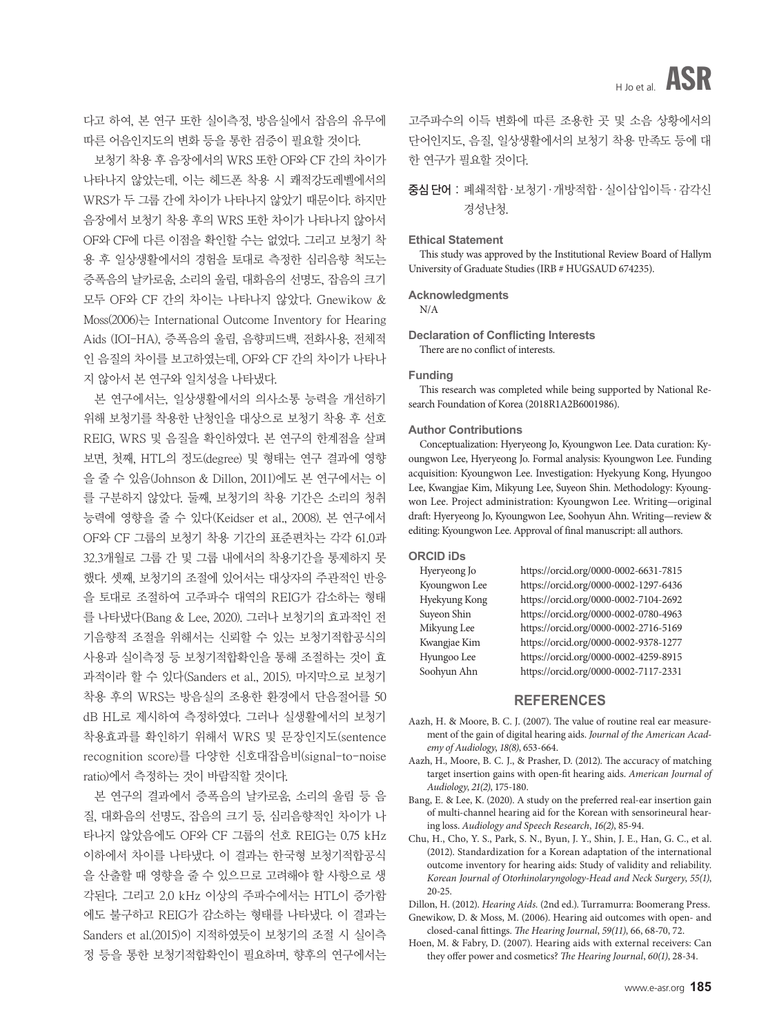다고 하여, 본 연구 또한 실이측정, 방음실에서 잡음의 유무에 따른 어음인지도의 변화 등을 통한 검증이 필요할 것이다.

보청기 착용 후 음장에서의 WRS 또한 OF와 CF 간의 차이가 나타나지 않았는데, 이는 헤드폰 착용 시 쾌적강도레벨에서의 WRS가 두 그룹 간에 차이가 나타나지 않았기 때문이다. 하지만 음장에서 보청기 착용 후의 WRS 또한 차이가 나타나지 않아서 OF와 CF에 다른 이점을 확인할 수는 없었다. 그리고 보청기 착 용 후 일상생활에서의 경험을 토대로 측정한 심리음향 척도는 증폭음의 날카로움, 소리의 울림, 대화음의 선명도, 잡음의 크기 모두 OF와 CF 간의 차이는 나타나지 않았다. Gnewikow & Moss(2006)는 International Outcome Inventory for Hearing Aids (IOI-HA), 증폭음의 울림, 음향피드백, 전화사용, 전체적 인 음질의 차이를 보고하였는데, OF와 CF 간의 차이가 나타나 지 않아서 본 연구와 일치성을 나타냈다.

본 연구에서는, 일상생활에서의 의사소통 능력을 개선하기 위해 보청기를 착용한 난청인을 대상으로 보청기 착용 후 선호 REIG, WRS 및 음질을 확인하였다. 본 연구의 한계점을 살펴 보면, 첫째, HTL의 정도(degree) 및 형태는 연구 결과에 영향 을 줄 수 있음(Johnson & Dillon, 2011)에도 본 연구에서는 이 를 구분하지 않았다. 둘째, 보청기의 착용 기간은 소리의 청취 능력에 영향을 줄 수 있다(Keidser et al., 2008). 본 연구에서 OF와 CF 그룹의 보청기 착용 기간의 표준편차는 각각 61.0과 32.3개월로 그룹 간 및 그룹 내에서의 착용기간을 통제하지 못 했다. 셋째, 보청기의 조절에 있어서는 대상자의 주관적인 반응 을 토대로 조절하여 고주파수 대역의 REIG가 감소하는 형태 를 나타냈다(Bang & Lee, 2020). 그러나 보청기의 효과적인 전 기음향적 조절을 위해서는 신뢰할 수 있는 보청기적합공식의 사용과 실이측정 등 보청기적합확인을 통해 조절하는 것이 효 과적이라 할 수 있다(Sanders et al., 2015). 마지막으로 보청기 착용 후의 WRS는 방음실의 조용한 환경에서 단음절어를 50 dB HL로 제시하여 측정하였다. 그러나 실생활에서의 보청기 착용효과를 확인하기 위해서 WRS 및 문장인지도(sentence recognition score)를 다양한 신호대잡음비(signal-to-noise ratio)에서 측정하는 것이 바람직할 것이다.

본 연구의 결과에서 증폭음의 날카로움, 소리의 울림 등 음 질, 대화음의 선명도, 잡음의 크기 등, 심리음향적인 차이가 나 타나지 않았음에도 OF와 CF 그룹의 선호 REIG는 0.75 kHz 이하에서 차이를 나타냈다. 이 결과는 한국형 보청기적합공식 을 산출할 때 영향을 줄 수 있으므로 고려해야 할 사항으로 생 각된다. 그리고 2.0 kHz 이상의 주파수에서는 HTL이 증가함 에도 불구하고 REIG가 감소하는 형태를 나타냈다. 이 결과는 Sanders et al.(2015)이 지적하였듯이 보청기의 조절 시 실이측 정 등을 통한 보청기적합확인이 필요하며, 향후의 연구에서는 고주파수의 이득 변화에 따른 조용한 곳 및 소음 상황에서의 단어인지도, 음질, 일상생활에서의 보청기 착용 만족도 등에 대 한 연구가 필요할 것이다.

# 중심 단어 : 폐쇄적합·보청기·개방적합·실이삽입이득·감각신 경성난청.

### **Ethical Statement**

This study was approved by the Institutional Review Board of Hallym University of Graduate Studies (IRB # HUGSAUD 674235).

### **Acknowledgments**

N/A

#### **Declaration of Conflicting Interests** There are no conflict of interests.

#### **Funding**

This research was completed while being supported by National Research Foundation of Korea (2018R1A2B6001986).

### **Author Contributions**

Conceptualization: Hyeryeong Jo, Kyoungwon Lee. Data curation: Kyoungwon Lee, Hyeryeong Jo. Formal analysis: Kyoungwon Lee. Funding acquisition: Kyoungwon Lee. Investigation: Hyekyung Kong, Hyungoo Lee, Kwangjae Kim, Mikyung Lee, Suyeon Shin. Methodology: Kyoungwon Lee. Project administration: Kyoungwon Lee. Writing—original draft: Hyeryeong Jo, Kyoungwon Lee, Soohyun Ahn. Writing—review & editing: Kyoungwon Lee. Approval of final manuscript: all authors.

### **ORCID iDs**

| Hyeryeong Jo  | https://orcid.org/0000-0002-6631-7815 |
|---------------|---------------------------------------|
| Kyoungwon Lee | https://orcid.org/0000-0002-1297-6436 |
| Hyekyung Kong | https://orcid.org/0000-0002-7104-2692 |
| Suyeon Shin   | https://orcid.org/0000-0002-0780-4963 |
| Mikyung Lee   | https://orcid.org/0000-0002-2716-5169 |
| Kwangjae Kim  | https://orcid.org/0000-0002-9378-1277 |
| Hyungoo Lee   | https://orcid.org/0000-0002-4259-8915 |
| Soohyun Ahn   | https://orcid.org/0000-0002-7117-2331 |

### **REFERENCES**

- Aazh, H. & Moore, B. C. J. (2007). The value of routine real ear measurement of the gain of digital hearing aids. *Journal of the American Academy of Audiology*, *18(8)*, 653-664.
- Aazh, H., Moore, B. C. J., & Prasher, D. (2012). The accuracy of matching target insertion gains with open-fit hearing aids. *American Journal of Audiology*, *21(2)*, 175-180.
- Bang, E. & Lee, K. (2020). A study on the preferred real-ear insertion gain of multi-channel hearing aid for the Korean with sensorineural hearing loss. *Audiology and Speech Research*, *16(2)*, 85-94.
- Chu, H., Cho, Y. S., Park, S. N., Byun, J. Y., Shin, J. E., Han, G. C., et al. (2012). Standardization for a Korean adaptation of the international outcome inventory for hearing aids: Study of validity and reliability. *Korean Journal of Otorhinolaryngology-Head and Neck Surgery*, *55(1)*, 20-25.

Dillon, H. (2012). *Hearing Aids.* (2nd ed.). Turramurra: Boomerang Press.

Gnewikow, D. & Moss, M. (2006). Hearing aid outcomes with open- and closed-canal fittings. *The Hearing Journal*, *59(11)*, 66, 68-70, 72.

Hoen, M. & Fabry, D. (2007). Hearing aids with external receivers: Can they offer power and cosmetics? *The Hearing Journal*, *60(1)*, 28-34.